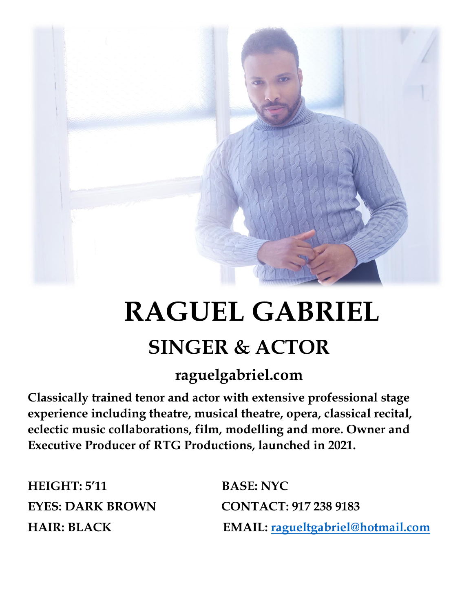

# **RAGUEL GABRIEL**

## **SINGER & ACTOR**

## **raguelgabriel.com**

**Classically trained tenor and actor with extensive professional stage experience including theatre, musical theatre, opera, classical recital, eclectic music collaborations, film, modelling and more. Owner and Executive Producer of RTG Productions, launched in 2021.**

**HEIGHT: 5'11 BASE: NYC** 

**EYES: DARK BROWN CONTACT: 917 238 9183 HAIR: BLACK EMAIL: [ragueltgabriel@hotmail.com](mailto:ragueltgabriel@hotmail.com)**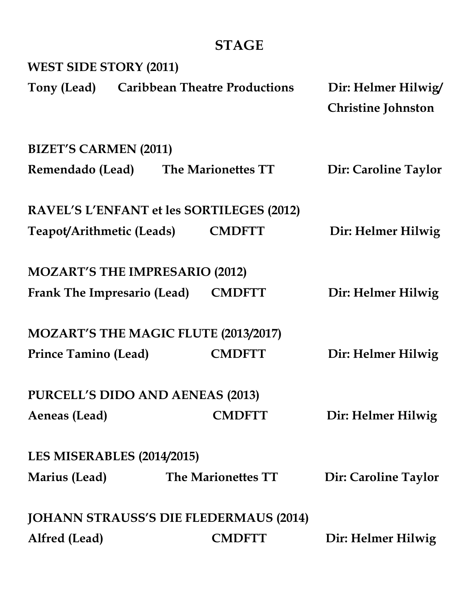## **STAGE**

| Dir: Helmer Hilwig<br><b>Christine Johnston</b> |
|-------------------------------------------------|
|                                                 |
|                                                 |
| Dir: Caroline Taylor                            |
|                                                 |
| Dir: Helmer Hilwig                              |
|                                                 |
| Dir: Helmer Hilwig                              |
|                                                 |
| Dir: Helmer Hilwig                              |
|                                                 |
| Dir: Helmer Hilwig                              |
|                                                 |
| Dir: Caroline Taylor                            |
|                                                 |
| Dir: Helmer Hilwig                              |
|                                                 |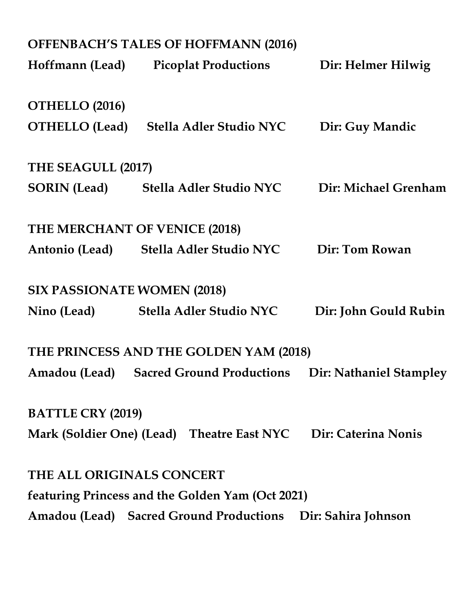|                          | <b>OFFENBACH'S TALES OF HOFFMANN (2016)</b>      |                         |
|--------------------------|--------------------------------------------------|-------------------------|
| Hoffmann (Lead)          | <b>Picoplat Productions</b>                      | Dir: Helmer Hilwig      |
| OTHELLO (2016)           |                                                  |                         |
| <b>OTHELLO</b> (Lead)    | Stella Adler Studio NYC                          | Dir: Guy Mandic         |
| THE SEAGULL (2017)       |                                                  |                         |
|                          | SORIN (Lead) Stella Adler Studio NYC             | Dir: Michael Grenham    |
|                          | THE MERCHANT OF VENICE (2018)                    |                         |
| Antonio (Lead)           | <b>Stella Adler Studio NYC</b>                   | Dir: Tom Rowan          |
|                          | <b>SIX PASSIONATE WOMEN (2018)</b>               |                         |
| Nino (Lead)              | Stella Adler Studio NYC                          | Dir: John Gould Rubin   |
|                          | THE PRINCESS AND THE GOLDEN YAM (2018)           |                         |
| Amadou (Lead)            | <b>Sacred Ground Productions</b>                 | Dir: Nathaniel Stampley |
| <b>BATTLE CRY (2019)</b> |                                                  |                         |
|                          | Mark (Soldier One) (Lead) Theatre East NYC       | Dir: Caterina Nonis     |
|                          | <b>THE ALL ORIGINALS CONCERT</b>                 |                         |
|                          | featuring Princess and the Golden Yam (Oct 2021) |                         |
|                          | <b>Amadou (Lead)</b> Sacred Ground Productions   | Dir: Sahira Johnson     |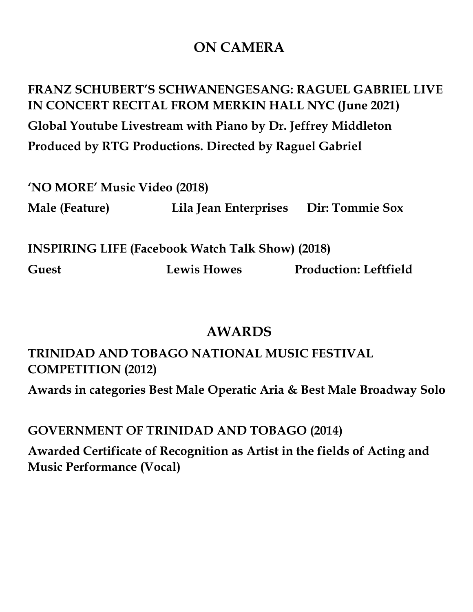## **ON CAMERA**

## **FRANZ SCHUBERT'S SCHWANENGESANG: RAGUEL GABRIEL LIVE IN CONCERT RECITAL FROM MERKIN HALL NYC (June 2021) Global Youtube Livestream with Piano by Dr. Jeffrey Middleton Produced by RTG Productions. Directed by Raguel Gabriel**

**'NO MORE' Music Video (2018) Male (Feature) Lila Jean Enterprises Dir: Tommie Sox**

**INSPIRING LIFE (Facebook Watch Talk Show) (2018) Guest Lewis Howes Production: Leftfield**

#### **AWARDS**

**TRINIDAD AND TOBAGO NATIONAL MUSIC FESTIVAL COMPETITION (2012)**

**Awards in categories Best Male Operatic Aria & Best Male Broadway Solo**

#### **GOVERNMENT OF TRINIDAD AND TOBAGO (2014)**

**Awarded Certificate of Recognition as Artist in the fields of Acting and Music Performance (Vocal)**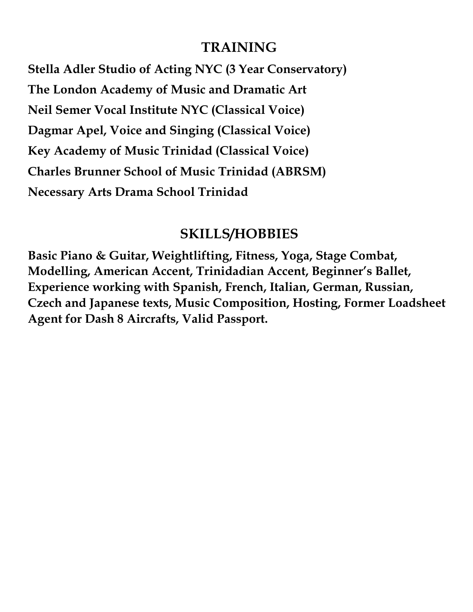#### **TRAINING**

**Stella Adler Studio of Acting NYC (3 Year Conservatory) The London Academy of Music and Dramatic Art Neil Semer Vocal Institute NYC (Classical Voice) Dagmar Apel, Voice and Singing (Classical Voice) Key Academy of Music Trinidad (Classical Voice) Charles Brunner School of Music Trinidad (ABRSM) Necessary Arts Drama School Trinidad**

#### **SKILLS/HOBBIES**

**Basic Piano & Guitar, Weightlifting, Fitness, Yoga, Stage Combat, Modelling, American Accent, Trinidadian Accent, Beginner's Ballet, Experience working with Spanish, French, Italian, German, Russian, Czech and Japanese texts, Music Composition, Hosting, Former Loadsheet Agent for Dash 8 Aircrafts, Valid Passport.**